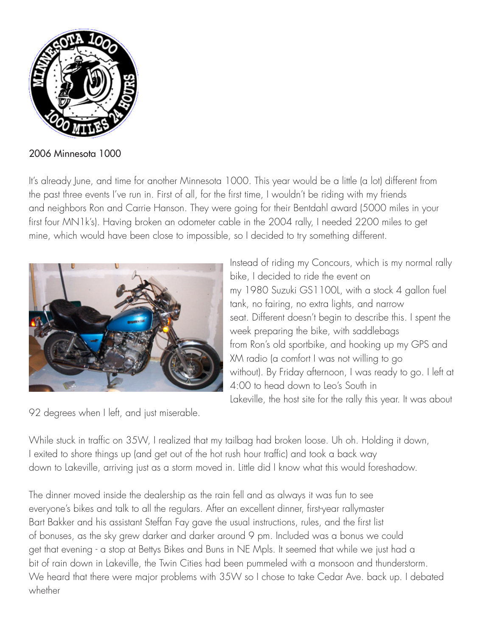

2006 Minnesota 1000

It's already June, and time for another Minnesota 1000. This year would be a little (a lot) different from the past three events I've run in. First of all, for the first time, I wouldn't be riding with my friends and neighbors Ron and Carrie Hanson. They were going for their Bentdahl award (5000 miles in your first four MN1k's). Having broken an odometer cable in the 2004 rally, I needed 2200 miles to get mine, which would have been close to impossible, so I decided to try something different.



Instead of riding my Concours, which is my normal rally bike, I decided to ride the event on my 1980 Suzuki GS1100L, with a stock 4 gallon fuel tank, no fairing, no extra lights, and narrow seat. Different doesn't begin to describe this. I spent the week preparing the bike, with saddlebags from Ron's old sportbike, and hooking up my GPS and XM radio (a comfort I was not willing to go without). By Friday afternoon, I was ready to go. I left at 4:00 to head down to Leo's South in Lakeville, the host site for the rally this year. It was about

92 degrees when I left, and just miserable.

While stuck in traffic on 35W, I realized that my tailbag had broken loose. Uh oh. Holding it down, I exited to shore things up (and get out of the hot rush hour traffic) and took a back way down to Lakeville, arriving just as a storm moved in. Little did I know what this would foreshadow.

The dinner moved inside the dealership as the rain fell and as always it was fun to see everyone's bikes and talk to all the regulars. After an excellent dinner, first-year rallymaster Bart Bakker and his assistant Steffan Fay gave the usual instructions, rules, and the first list of bonuses, as the sky grew darker and darker around 9 pm. Included was a bonus we could get that evening - a stop at Bettys Bikes and Buns in NE Mpls. It seemed that while we just had a bit of rain down in Lakeville, the Twin Cities had been pummeled with a monsoon and thunderstorm. We heard that there were major problems with 35W so I chose to take Cedar Ave. back up. I debated whether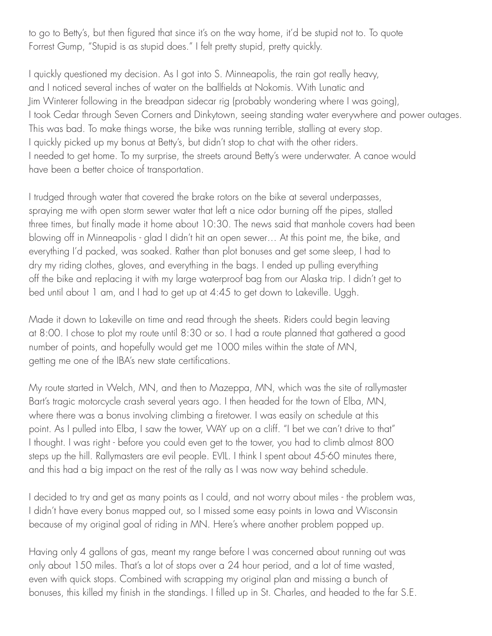to go to Betty's, but then figured that since it's on the way home, it'd be stupid not to. To quote Forrest Gump, "Stupid is as stupid does." I felt pretty stupid, pretty quickly.

I quickly questioned my decision. As I got into S. Minneapolis, the rain got really heavy, and I noticed several inches of water on the ballfields at Nokomis. With Lunatic and Jim Winterer following in the breadpan sidecar rig (probably wondering where I was going), I took Cedar through Seven Corners and Dinkytown, seeing standing water everywhere and power outages. This was bad. To make things worse, the bike was running terrible, stalling at every stop. I quickly picked up my bonus at Betty's, but didn't stop to chat with the other riders. I needed to get home. To my surprise, the streets around Betty's were underwater. A canoe would have been a better choice of transportation.

I trudged through water that covered the brake rotors on the bike at several underpasses, spraying me with open storm sewer water that left a nice odor burning off the pipes, stalled three times, but finally made it home about 10:30. The news said that manhole covers had been blowing off in Minneapolis - glad I didn't hit an open sewer… At this point me, the bike, and everything I'd packed, was soaked. Rather than plot bonuses and get some sleep, I had to dry my riding clothes, gloves, and everything in the bags. I ended up pulling everything off the bike and replacing it with my large waterproof bag from our Alaska trip. I didn't get to bed until about 1 am, and I had to get up at 4:45 to get down to Lakeville. Uggh.

Made it down to Lakeville on time and read through the sheets. Riders could begin leaving at 8:00. I chose to plot my route until 8:30 or so. I had a route planned that gathered a good number of points, and hopefully would get me 1000 miles within the state of MN, getting me one of the IBA's new state certifications.

My route started in Welch, MN, and then to Mazeppa, MN, which was the site of rallymaster Bart's tragic motorcycle crash several years ago. I then headed for the town of Elba, MN, where there was a bonus involving climbing a firetower. I was easily on schedule at this point. As I pulled into Elba, I saw the tower, WAY up on a cliff. "I bet we can't drive to that" I thought. I was right - before you could even get to the tower, you had to climb almost 800 steps up the hill. Rallymasters are evil people. EVIL. I think I spent about 45-60 minutes there, and this had a big impact on the rest of the rally as I was now way behind schedule.

I decided to try and get as many points as I could, and not worry about miles - the problem was, I didn't have every bonus mapped out, so I missed some easy points in Iowa and Wisconsin because of my original goal of riding in MN. Here's where another problem popped up.

Having only 4 gallons of gas, meant my range before I was concerned about running out was only about 150 miles. That's a lot of stops over a 24 hour period, and a lot of time wasted, even with quick stops. Combined with scrapping my original plan and missing a bunch of bonuses, this killed my finish in the standings. I filled up in St. Charles, and headed to the far S.E.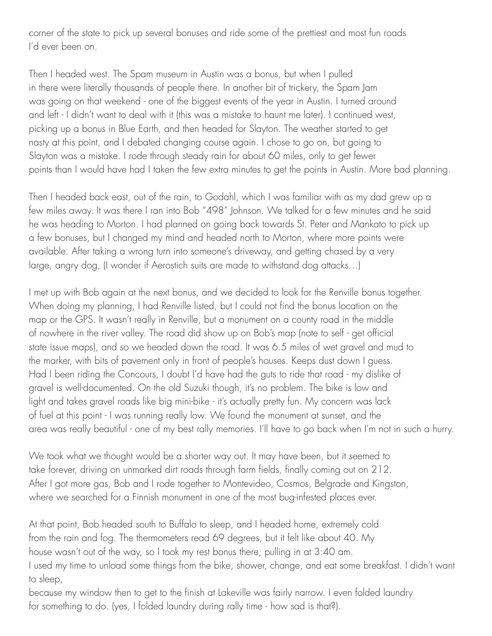corner of the state to pick up several bonuses and ride some of the prettiest and most fun roads I'd ever been on.

Then I headed west. The Spam museum in Austin was a bonus, but when I pulled in there were literally thousands of people there. In another bit of trickery, the Spam Jam was going on that weekend - one of the biggest events of the year in Austin. I turned around and left - I didn't want to deal with it (this was a mistake to haunt me later). I continued west, picking up a bonus in Blue Earth, and then headed for Slayton. The weather started to get nasty at this point, and I debated changing course again. I chose to go on, but going to Slayton was a mistake. I rode through steady rain for about 60 miles, only to get fewer points than I would have had I taken the few extra minutes to get the points in Austin. More bad planning.

Then I headed back east, out of the rain, to Godahl, which I was familiar with as my dad grew up a few miles away. It was there I ran into Bob "498" Johnson. We talked for a few minutes and he said he was heading to Morton. I had planned on going back towards St. Peter and Mankato to pick up a few bonuses, but I changed my mind and headed north to Morton, where more points were available. After taking a wrong turn into someone's driveway, and getting chased by a very large, angry dog, (I wonder if Aerostich suits are made to withstand dog attacks…)

I met up with Bob again at the next bonus, and we decided to look for the Renville bonus together. When doing my planning, I had Renville listed, but I could not find the bonus location on the map or the GPS. It wasn't really in Renville, but a monument on a county road in the middle of nowhere in the river valley. The road did show up on Bob's map (note to self - get official state issue maps), and so we headed down the road. It was 6.5 miles of wet gravel and mud to the marker, with bits of pavement only in front of people's houses. Keeps dust down I guess. Had I been riding the Concours, I doubt I'd have had the guts to ride that road - my dislike of gravel is well-documented. On the old Suzuki though, it's no problem. The bike is low and light and takes gravel roads like big mini-bike - it's actually pretty fun. My concern was lack of fuel at this point - I was running really low. We found the monument at sunset, and the area was really beautiful - one of my best rally memories. I'll have to go back when I'm not in such a hurry.

We took what we thought would be a shorter way out. It may have been, but it seemed to take forever, driving on unmarked dirt roads through farm fields, finally coming out on 212. After I got more gas, Bob and I rode together to Montevideo, Cosmos, Belgrade and Kingston, where we searched for a Finnish monument in one of the most bug-infested places ever.

At that point, Bob headed south to Buffalo to sleep, and I headed home, extremely cold from the rain and fog. The thermometers read 69 degrees, but it felt like about 40. My house wasn't out of the way, so I took my rest bonus there, pulling in at 3:40 am. I used my time to unload some things from the bike, shower, change, and eat some breakfast. I didn't want to sleep,

because my window then to get to the finish at Lakeville was fairly narrow. I even folded laundry for something to do. (yes, I folded laundry during rally time - how sad is that?).